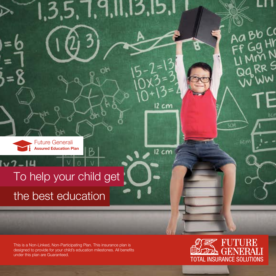

ハワー

# To help your child get

 $7,9,11,13,15$ 

 $12 cm$ 

 $12 cm$ 

the best education

This is a Non-Linked, Non-Participating Plan. This insurance plan is designed to provide for your child's education milestones. All benefits under this plan are Guaranteed.



**SCM** 

6.C.N

BO CO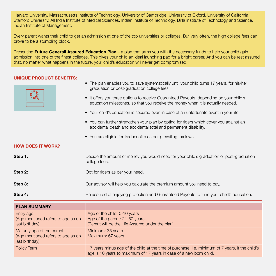Harvard University. Massachusetts Institute of Technology. University of Cambridge. University of Oxford. University of California. Stanford University. All India Institute of Medical Sciences. Indian Institute of Technology. Birla Institute of Technology and Science. Indian Institute of Management.

Every parent wants their child to get an admission at one of the top universities or colleges. But very often, the high college fees can prove to be a stumbling block.

Presenting **Future Generali Assured Education Plan** – a plan that arms you with the necessary funds to help your child gain admission into one of the finest colleges. This gives your child an ideal launching pad for a bright career. And you can be rest assured that, no matter what happens in the future, your child's education will never get compromised.

### UNIQUE PRODUCT BENEFITS:

- The plan enables you to save systematically until your child turns 17 years, for his/her graduation or post-graduation college fees.
- It offers you three options to receive Guaranteed Payouts, depending on your child's education milestones, so that you receive the money when it is actually needed.
- Your child's education is secured even in case of an unfortunate event in your life.
- You can further strengthen your plan by opting for riders which cover you against an accidental death and accidental total and permanent disability.
- You are eligible for tax benefits as per prevailing tax laws.

HOW DOES IT WORK?

- **Step 1:** Decide the amount of money you would need for your child's graduation or post-graduation college fees.
- **Step 2:** Opt for riders as per your need.
- **Step 3: Step 3: Our advisor will help you calculate the premium amount you need to pay.**
- **Step 4:** Be assured of enjoying protection and Guaranteed Payouts to fund your child's education.

| <b>PLAN SUMMARY</b>                                                                |                                                                                                                                                                         |
|------------------------------------------------------------------------------------|-------------------------------------------------------------------------------------------------------------------------------------------------------------------------|
| Entry age<br>(Age mentioned refers to age as on<br>last birthday)                  | Age of the child: 0-10 years<br>Age of the parent: 21-50 years<br>(Parent will be the Life Assured under the plan)                                                      |
| Maturity age of the parent<br>(Age mentioned refers to age as on<br>last birthday) | Minimum: 35 years<br>Maximum: 67 years                                                                                                                                  |
| Policy Term                                                                        | 17 years minus age of the child at the time of purchase, i.e. minimum of 7 years, if the child's<br>age is 10 years to maximum of 17 years in case of a new born child. |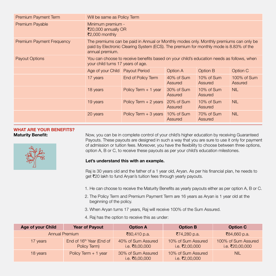| Premium Payment Term             | Will be same as Policy Term                                                                                                                                                                         |                        |                       |                       |                        |  |  |  |
|----------------------------------|-----------------------------------------------------------------------------------------------------------------------------------------------------------------------------------------------------|------------------------|-----------------------|-----------------------|------------------------|--|--|--|
| Premium Payable                  | Minimum premium -<br>₹20,000 annually OR<br>₹2,000 monthly                                                                                                                                          |                        |                       |                       |                        |  |  |  |
| <b>Premium Payment Frequency</b> | The premiums can be paid in Annual or Monthly modes only. Monthly premiums can only be<br>paid by Electronic Clearing System (ECS). The premium for monthly mode is 8.83% of the<br>annual premium. |                        |                       |                       |                        |  |  |  |
| <b>Payout Options</b>            | You can choose to receive benefits based on your child's education needs as follows, when<br>your child turns 17 years of age.                                                                      |                        |                       |                       |                        |  |  |  |
|                                  | Age of your Child Payout Period<br>Option A<br>Option B<br>Option C                                                                                                                                 |                        |                       |                       |                        |  |  |  |
|                                  | 17 years                                                                                                                                                                                            | End of Policy Term     | 40% of Sum<br>Assured | 10% of Sum<br>Assured | 100% of Sum<br>Assured |  |  |  |
|                                  | 18 years                                                                                                                                                                                            | Policy Term $+1$ year  | 30% of Sum<br>Assured | 10% of Sum<br>Assured | <b>NIL</b>             |  |  |  |
|                                  | Policy Term $+2$ years<br>19 years                                                                                                                                                                  |                        | 20% of Sum<br>Assured | 10% of Sum<br>Assured | <b>NIL</b>             |  |  |  |
|                                  | 20 years                                                                                                                                                                                            | Policy Term $+3$ years | 10% of Sum<br>Assured | 70% of Sum<br>Assured | <b>NIL</b>             |  |  |  |

# WHAT ARE YOUR BENEFITS?



**Maturity Benefit:** Now, you can be in complete control of your child's higher education by receiving Guaranteed Payouts. These payouts are designed in such a way that you are sure to use it only for payment of admission or tuition fees. Moreover, you have the flexibility to choose between three options, option A, B or C, to receive these payouts as per your child's education milestones.

### Let's understand this with an example.

Raj is 30 years old and the father of a 1 year old, Aryan. As per his financial plan, he needs to get ₹20 lakh to fund Aryan's tuition fees through yearly payouts.

- 1. He can choose to receive the Maturity Benefits as yearly payouts either as per option A, B or C.
- 2. The Policy Term and Premium Payment Term are 16 years as Aryan is 1 year old at the beginning of the policy.
- 3. When Aryan turns 17 years, Raj will receive 100% of the Sum Assured.
- 4. Raj has the option to receive this as under:

| Age of your Child     | <b>Year of Payout</b>                                | <b>Option A</b>                      | <b>Option B</b>                      | <b>Option C</b>                        |  |
|-----------------------|------------------------------------------------------|--------------------------------------|--------------------------------------|----------------------------------------|--|
| <b>Annual Premium</b> |                                                      | ₹80,410 p.a.                         | ₹74,280 p.a.                         | ₹84,660 p.a.                           |  |
| 17 years              | End of 16 <sup>th</sup> Year (End of<br>Policy Term) | 40% of Sum Assured<br>i.e. ₹8,00,000 | 10% of Sum Assured<br>i.e. ₹2,00,000 | 100% of Sum Assured<br>i.e. ₹20,00,000 |  |
| 18 years              | Policy Term + 1 year                                 | 30% of Sum Assured<br>i.e. ₹6,00,000 | 10% of Sum Assured<br>i.e. ₹2,00,000 | <b>NIL</b>                             |  |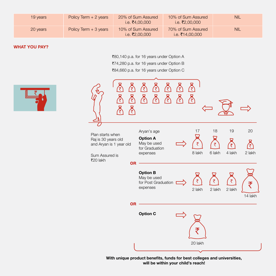| 19 years | Policy Term $+2$ years | 20% of Sum Assured<br>i.e. ₹4.00.000 | 10% of Sum Assured<br>i.e. ₹2.00.000  | <b>NIL</b> |
|----------|------------------------|--------------------------------------|---------------------------------------|------------|
| 20 years | Policy Term + 3 years  | 10% of Sum Assured<br>i.e. ₹2.00.000 | 70% of Sum Assured<br>i.e. ₹14.00.000 | <b>NIL</b> |

### WHAT YOU PAY?

₹80,140 p.a. for 16 years under Option A `74,280 p.a. for 16 years under Option B ₹84,660 p.a. for 16 years under Option C



With unique product benefits, funds for best colleges and universities, will be within your child's reach!

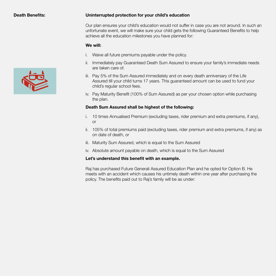#### Death Benefits: Uninterrupted protection for your child's education

Our plan ensures your child's education would not suffer in case you are not around. In such an unfortunate event, we will make sure your child gets the following Guaranteed Benefits to help achieve all the education milestones you have planned for:

#### We will:

- i. Waive all future premiums payable under the policy.
- ii. Immediately pay Guaranteed Death Sum Assured to ensure your family's immediate needs are taken care of.
- iii. Pay 5% of the Sum Assured immediately and on every death anniversary of the Life Assured till your child turns 17 years. This guaranteed amount can be used to fund your child's regular school fees.
- iv. Pay Maturity Benefit (100% of Sum Assured) as per your chosen option while purchasing the plan.

### Death Sum Assured shall be highest of the following:

- i. 10 times Annualised Premium (excluding taxes, rider premium and extra premiums, if any), or
- ii. 105% of total premiums paid (excluding taxes, rider premium and extra premiums, if any) as on date of death, or
- iii. Maturity Sum Assured, which is equal to the Sum Assured
- iv. Absolute amount payable on death, which is equal to the Sum Assured

### Let's understand this benefit with an example.

Raj has purchased Future Generali Assured Education Plan and he opted for Option B. He meets with an accident which causes his untimely death within one year after purchasing the policy. The benefits paid out to Raj's family will be as under:

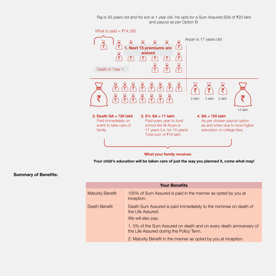Raj is 30 years old and his son is 1 year old. He opts for a Sum Assured (SA) of  $\bar{z}$ 20 lakh and payout as per Option B.



Your child's education will be taken care of just the way you planned it, come what may!

#### Summary of Benefits:

| <b>Your Benefits</b>    |                                                                                                                                                                                                                              |  |  |  |  |  |
|-------------------------|------------------------------------------------------------------------------------------------------------------------------------------------------------------------------------------------------------------------------|--|--|--|--|--|
| <b>Maturity Benefit</b> | 100% of Sum Assured is paid in the manner as opted by you at<br>inception.                                                                                                                                                   |  |  |  |  |  |
| Death Benefit           | Death Sum Assured is paid immediately to the nominee on death of<br>the Life Assured.<br>We will also pay:<br>1.5% of the Sum Assured on death and on every death anniversary of<br>the Life Assured during the Policy Term. |  |  |  |  |  |
|                         | 2. Maturity Benefit in the manner as opted by you at inception.                                                                                                                                                              |  |  |  |  |  |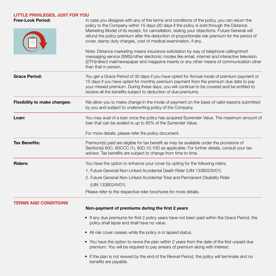## LITTLE PRIVILEGES, JUST FOR YOU

| <b>Free-Look Period:</b>            | In case you disagree with any of the terms and conditions of the policy, you can return the<br>policy to the Company within 15 days (30 days if the policy is sold through the Distance<br>Marketing Mode) of its receipt, for cancellation, stating your objections. Future Generali will<br>refund the policy premium after the deduction of proportionate risk premium for the period of<br>cover, stamp duty charges, cost of medical examination, if any.<br>Note: Distance marketing means insurance solicitation by way of telephone calling/short<br>messaging service (SMS)/other electronic modes like email, internet and interactive television<br>(DTH)/direct mail/newspaper and magazine inserts or any other means of communication other |  |  |  |  |  |  |
|-------------------------------------|-----------------------------------------------------------------------------------------------------------------------------------------------------------------------------------------------------------------------------------------------------------------------------------------------------------------------------------------------------------------------------------------------------------------------------------------------------------------------------------------------------------------------------------------------------------------------------------------------------------------------------------------------------------------------------------------------------------------------------------------------------------|--|--|--|--|--|--|
|                                     | than that in person.                                                                                                                                                                                                                                                                                                                                                                                                                                                                                                                                                                                                                                                                                                                                      |  |  |  |  |  |  |
| <b>Grace Period:</b>                | You get a Grace Period of 30 days if you have opted for Annual mode of premium payment or<br>15 days if you have opted for monthly premium payment from the premium due date to pay<br>your missed premium. During these days, you will continue to be covered and be entitled to<br>receive all the benefits subject to deduction of due premiums.                                                                                                                                                                                                                                                                                                                                                                                                       |  |  |  |  |  |  |
| <b>Flexibility to make changes:</b> | We allow you to make change in the mode of payment on the basis of valid reasons submitted<br>by you and subject to underwriting policy of the Company.                                                                                                                                                                                                                                                                                                                                                                                                                                                                                                                                                                                                   |  |  |  |  |  |  |
| Loan:                               | You may avail of a loan once the policy has acquired Surrender Value. The maximum amount of<br>loan that can be availed is up to 85% of the Surrender Value.                                                                                                                                                                                                                                                                                                                                                                                                                                                                                                                                                                                              |  |  |  |  |  |  |
|                                     | For more details, please refer the policy document.                                                                                                                                                                                                                                                                                                                                                                                                                                                                                                                                                                                                                                                                                                       |  |  |  |  |  |  |
| <b>Tax Benefits:</b>                | Premium(s) paid are eligible for tax benefit as may be available under the provisions of<br>Section(s) 80C, 80CCC (1), 80D, 10.10D as applicable. For further details, consult your tax<br>advisor. Tax benefits are subject to change from time to time.                                                                                                                                                                                                                                                                                                                                                                                                                                                                                                 |  |  |  |  |  |  |
| <b>Riders:</b>                      | You have the option to enhance your cover by opting for the following riders.                                                                                                                                                                                                                                                                                                                                                                                                                                                                                                                                                                                                                                                                             |  |  |  |  |  |  |
|                                     | 1. Future Generali Non-Linked Accidental Death Rider (UIN 133B023V01)                                                                                                                                                                                                                                                                                                                                                                                                                                                                                                                                                                                                                                                                                     |  |  |  |  |  |  |
|                                     | 2. Future Generali Non-Linked Accidental Total and Permanent Disability Rider<br>(UIN 133B024V01)                                                                                                                                                                                                                                                                                                                                                                                                                                                                                                                                                                                                                                                         |  |  |  |  |  |  |
|                                     | Please refer to the respective rider brochures for more details.                                                                                                                                                                                                                                                                                                                                                                                                                                                                                                                                                                                                                                                                                          |  |  |  |  |  |  |
| <b>TERMS AND CONDITIONS</b>         | Non-payment of premiums during the first 2 years                                                                                                                                                                                                                                                                                                                                                                                                                                                                                                                                                                                                                                                                                                          |  |  |  |  |  |  |
|                                     | • If any due premiums for first 2 policy years have not been paid within the Grace Period, the<br>policy shall lapse and shall have no value.                                                                                                                                                                                                                                                                                                                                                                                                                                                                                                                                                                                                             |  |  |  |  |  |  |
|                                     | • All risk cover ceases while the policy is in lapsed status.                                                                                                                                                                                                                                                                                                                                                                                                                                                                                                                                                                                                                                                                                             |  |  |  |  |  |  |
|                                     | • You have the option to revive the plan within 2 years from the date of the first unpaid due<br>premium. You will be required to pay arrears of premium along with interest.                                                                                                                                                                                                                                                                                                                                                                                                                                                                                                                                                                             |  |  |  |  |  |  |
|                                     | • If the plan is not revived by the end of the Revival Period, the policy will terminate and no<br>benefits are payable.                                                                                                                                                                                                                                                                                                                                                                                                                                                                                                                                                                                                                                  |  |  |  |  |  |  |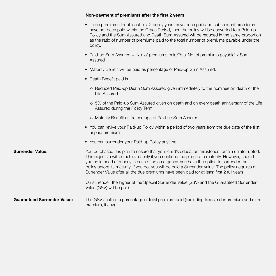|                                    | Non-payment of premiums after the first 2 years                                                                                                                                                                                                                                                                                                                                                                                                                                            |
|------------------------------------|--------------------------------------------------------------------------------------------------------------------------------------------------------------------------------------------------------------------------------------------------------------------------------------------------------------------------------------------------------------------------------------------------------------------------------------------------------------------------------------------|
|                                    | • If due premiums for at least first 2 policy years have been paid and subsequent premiums<br>have not been paid within the Grace Period, then the policy will be converted to a Paid-up<br>Policy and the Sum Assured and Death Sum Assured will be reduced in the same proportion<br>as the ratio of number of premiums paid to the total number of premiums payable under the<br>policy.                                                                                                |
|                                    | • Paid-up Sum Assured = (No. of premiums paid/Total No. of premiums payable) x Sum<br>Assured                                                                                                                                                                                                                                                                                                                                                                                              |
|                                    | • Maturity Benefit will be paid as percentage of Paid-up Sum Assured.                                                                                                                                                                                                                                                                                                                                                                                                                      |
|                                    | • Death Benefit paid is                                                                                                                                                                                                                                                                                                                                                                                                                                                                    |
|                                    | o Reduced Paid-up Death Sum Assured given immediately to the nominee on death of the<br>Life Assured                                                                                                                                                                                                                                                                                                                                                                                       |
|                                    | o 5% of the Paid-up Sum Assured given on death and on every death anniversary of the Life<br>Assured during the Policy Term                                                                                                                                                                                                                                                                                                                                                                |
|                                    | o Maturity Benefit as percentage of Paid-up Sum Assured                                                                                                                                                                                                                                                                                                                                                                                                                                    |
|                                    | • You can revive your Paid-up Policy within a period of two years from the due date of the first<br>unpaid premium                                                                                                                                                                                                                                                                                                                                                                         |
|                                    | • You can surrender your Paid-up Policy anytime                                                                                                                                                                                                                                                                                                                                                                                                                                            |
| <b>Surrender Value:</b>            | You purchased this plan to ensure that your child's education milestones remain uninterrupted.<br>This objective will be achieved only if you continue the plan up to maturity. However, should<br>you be in need of money in case of an emergency, you have the option to surrender the<br>policy before its maturity. If you do, you will be paid a Surrender Value. The policy acquires a<br>Surrender Value after all the due premiums have been paid for at least first 2 full years. |
|                                    | On surrender, the higher of the Special Surrender Value (SSV) and the Guaranteed Surrender<br>Value (GSV) will be paid.                                                                                                                                                                                                                                                                                                                                                                    |
| <b>Guaranteed Surrender Value:</b> | The GSV shall be a percentage of total premium paid (excluding taxes, rider premium and extra<br>premium, if any).                                                                                                                                                                                                                                                                                                                                                                         |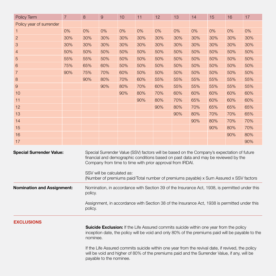| Policy Term                                                                                                                                                                                                                                                                                                                                                                                                                                                 | $\overline{7}$ | 8                                                                                                                                                                                                                                                                                                                                                                     | 9   | 10  | 11  | 12  | 13  | 14  | 15  | 16  | 17  |
|-------------------------------------------------------------------------------------------------------------------------------------------------------------------------------------------------------------------------------------------------------------------------------------------------------------------------------------------------------------------------------------------------------------------------------------------------------------|----------------|-----------------------------------------------------------------------------------------------------------------------------------------------------------------------------------------------------------------------------------------------------------------------------------------------------------------------------------------------------------------------|-----|-----|-----|-----|-----|-----|-----|-----|-----|
| Policy year of surrender                                                                                                                                                                                                                                                                                                                                                                                                                                    |                |                                                                                                                                                                                                                                                                                                                                                                       |     |     |     |     |     |     |     |     |     |
| 1                                                                                                                                                                                                                                                                                                                                                                                                                                                           | 0%             | 0%                                                                                                                                                                                                                                                                                                                                                                    | 0%  | 0%  | 0%  | 0%  | 0%  | 0%  | 0%  | 0%  | 0%  |
| $\overline{2}$                                                                                                                                                                                                                                                                                                                                                                                                                                              | 30%            | 30%                                                                                                                                                                                                                                                                                                                                                                   | 30% | 30% | 30% | 30% | 30% | 30% | 30% | 30% | 30% |
| 3                                                                                                                                                                                                                                                                                                                                                                                                                                                           | 30%            | 30%                                                                                                                                                                                                                                                                                                                                                                   | 30% | 30% | 30% | 30% | 30% | 30% | 30% | 30% | 30% |
| $\overline{4}$                                                                                                                                                                                                                                                                                                                                                                                                                                              | 50%            | 50%                                                                                                                                                                                                                                                                                                                                                                   | 50% | 50% | 50% | 50% | 50% | 50% | 50% | 50% | 50% |
| 5                                                                                                                                                                                                                                                                                                                                                                                                                                                           | 55%            | 55%                                                                                                                                                                                                                                                                                                                                                                   | 50% | 50% | 50% | 50% | 50% | 50% | 50% | 50% | 50% |
| 6                                                                                                                                                                                                                                                                                                                                                                                                                                                           | 75%            | 65%                                                                                                                                                                                                                                                                                                                                                                   | 60% | 50% | 50% | 50% | 50% | 50% | 50% | 50% | 50% |
| $\overline{7}$                                                                                                                                                                                                                                                                                                                                                                                                                                              | 90%            | 75%                                                                                                                                                                                                                                                                                                                                                                   | 70% | 60% | 50% | 50% | 50% | 50% | 50% | 50% | 50% |
| 8                                                                                                                                                                                                                                                                                                                                                                                                                                                           |                | 90%                                                                                                                                                                                                                                                                                                                                                                   | 80% | 70% | 60% | 55% | 55% | 55% | 55% | 55% | 55% |
| $\mathsf{9}$                                                                                                                                                                                                                                                                                                                                                                                                                                                |                |                                                                                                                                                                                                                                                                                                                                                                       | 90% | 80% | 70% | 60% | 55% | 55% | 55% | 55% | 55% |
| 10                                                                                                                                                                                                                                                                                                                                                                                                                                                          |                |                                                                                                                                                                                                                                                                                                                                                                       |     | 90% | 80% | 70% | 60% | 60% | 60% | 60% | 60% |
| 11                                                                                                                                                                                                                                                                                                                                                                                                                                                          |                |                                                                                                                                                                                                                                                                                                                                                                       |     |     | 90% | 80% | 70% | 65% | 60% | 60% | 60% |
| 12                                                                                                                                                                                                                                                                                                                                                                                                                                                          |                |                                                                                                                                                                                                                                                                                                                                                                       |     |     |     | 90% | 80% | 70% | 65% | 65% | 65% |
| 13                                                                                                                                                                                                                                                                                                                                                                                                                                                          |                |                                                                                                                                                                                                                                                                                                                                                                       |     |     |     |     | 90% | 80% | 70% | 70% | 65% |
| 14                                                                                                                                                                                                                                                                                                                                                                                                                                                          |                |                                                                                                                                                                                                                                                                                                                                                                       |     |     |     |     |     | 90% | 80% | 70% | 70% |
| 15                                                                                                                                                                                                                                                                                                                                                                                                                                                          |                |                                                                                                                                                                                                                                                                                                                                                                       |     |     |     |     |     |     | 90% | 80% | 70% |
| 16                                                                                                                                                                                                                                                                                                                                                                                                                                                          |                |                                                                                                                                                                                                                                                                                                                                                                       |     |     |     |     |     |     |     | 90% | 80% |
| 17                                                                                                                                                                                                                                                                                                                                                                                                                                                          |                |                                                                                                                                                                                                                                                                                                                                                                       |     |     |     |     |     |     |     |     | 90% |
| <b>Special Surrender Value:</b>                                                                                                                                                                                                                                                                                                                                                                                                                             |                | Special Surrender Value (SSV) factors will be based on the Company's expectation of future<br>financial and demographic conditions based on past data and may be reviewed by the<br>Company from time to time with prior approval from IRDAI.<br>SSV will be calculated as:<br>(Number of premiums paid/Total number of premiums payable) x Sum Assured x SSV factors |     |     |     |     |     |     |     |     |     |
| <b>Nomination and Assignment:</b>                                                                                                                                                                                                                                                                                                                                                                                                                           |                | Nomination, in accordance with Section 39 of the Insurance Act, 1938, is permitted under this<br>policy.<br>Assignment, in accordance with Section 38 of the Insurance Act, 1938 is permitted under this<br>policy.                                                                                                                                                   |     |     |     |     |     |     |     |     |     |
| <b>EXCLUSIONS</b><br>Suicide Exclusion: If the Life Assured commits suicide within one year from the policy<br>inception date, the policy will be void and only 80% of the premiums paid will be payable to the<br>nominee.<br>If the Life Assured commits suicide within one year from the revival date, if revived, the policy<br>will be void and higher of 80% of the premiums paid and the Surrender Value, if any, will be<br>payable to the nominee. |                |                                                                                                                                                                                                                                                                                                                                                                       |     |     |     |     |     |     |     |     |     |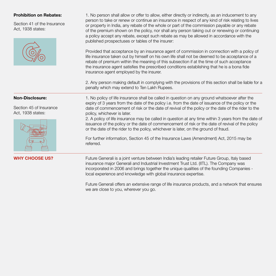Section 41 of the Insurance Act, 1938 states:



Prohibition on Rebates: 1. No person shall allow or offer to allow, either directly or indirectly, as an inducement to any person to take or renew or continue an insurance in respect of any kind of risk relating to lives or property in India, any rebate of the whole or part of the commission payable or any rebate of the premium shown on the policy, nor shall any person taking out or renewing or continuing a policy accept any rebate, except such rebate as may be allowed in accordance with the published prospectuses or tables of the insurer:

> Provided that acceptance by an insurance agent of commission in connection with a policy of life insurance taken out by himself on his own life shall not be deemed to be acceptance of a rebate of premium within the meaning of this subsection if at the time of such acceptance the insurance agent satisfies the prescribed conditions establishing that he is a bona fide insurance agent employed by the insurer.

2. Any person making default in complying with the provisions of this section shall be liable for a penalty which may extend to Ten Lakh Rupees.

Section 45 of Insurance Act, 1938 states:



**Non-Disclosure:** 1. No policy of life insurance shall be called in question on any ground whatsoever after the expiry of 3 years from the date of the policy i.e. from the date of issuance of the policy or the date of commencement of risk or the date of revival of the policy or the date of the rider to the policy, whichever is later.

2. A policy of life insurance may be called in question at any time within 3 years from the date of issuance of the policy or the date of commencement of risk or the date of revival of the policy or the date of the rider to the policy, whichever is later, on the ground of fraud.

For further information, Section 45 of the Insurance Laws (Amendment) Act, 2015 may be referred.

WHY CHOOSE US? Future Generali is a joint venture between India's leading retailer Future Group, Italy based insurance major Generali and Industrial Investment Trust Ltd. (IITL). The Company was incorporated in 2006 and brings together the unique qualities of the founding Companies local experience and knowledge with global insurance expertise.

> Future Generali offers an extensive range of life insurance products, and a network that ensures we are close to you, wherever you go.